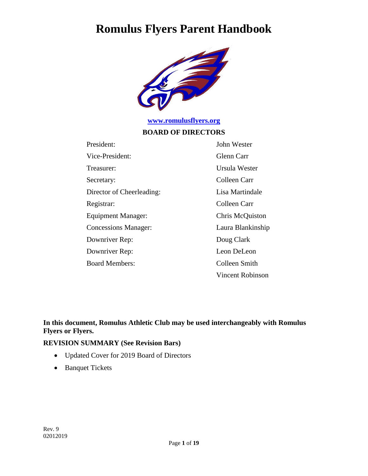

## **[www.romulusflyers.org](http://www.romulusflyers.org/)**

#### **BOARD OF DIRECTORS**

| President:                  | John Wester             |
|-----------------------------|-------------------------|
| Vice-President:             | Glenn Carr              |
| Treasurer:                  | Ursula Wester           |
| Secretary:                  | Colleen Carr            |
| Director of Cheerleading:   | Lisa Martindale         |
| Registrar:                  | Colleen Carr            |
| Equipment Manager:          | Chris McQuiston         |
| <b>Concessions Manager:</b> | Laura Blankinship       |
| Downriver Rep:              | Doug Clark              |
| Downriver Rep:              | Leon DeLeon             |
| <b>Board Members:</b>       | Colleen Smith           |
|                             | <b>Vincent Robinson</b> |

#### **In this document, Romulus Athletic Club may be used interchangeably with Romulus Flyers or Flyers.**

#### **REVISION SUMMARY (See Revision Bars)**

- Updated Cover for 2019 Board of Directors
- Banquet Tickets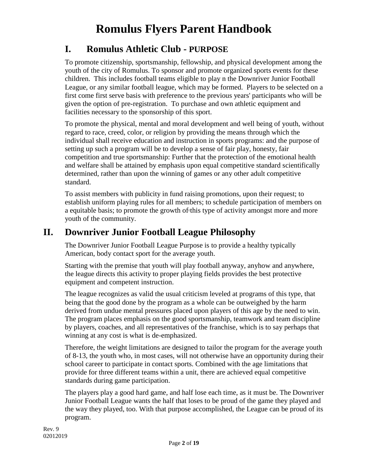## **I. Romulus Athletic Club - PURPOSE**

To promote citizenship, sportsmanship, fellowship, and physical development among the youth of the city of Romulus. To sponsor and promote organized sports events for these children. This includes football teams eligible to play n the Downriver Junior Football League, or any similar football league, which may be formed. Players to be selected on a first come first serve basis with preference to the previous years' participants who will be given the option of pre-registration. To purchase and own athletic equipment and facilities necessary to the sponsorship of this sport.

To promote the physical, mental and moral development and well being of youth, without regard to race, creed, color, or religion by providing the means through which the individual shall receive education and instruction in sports programs: and the purpose of setting up such a program will be to develop a sense of fair play, honesty, fair competition and true sportsmanship: Further that the protection of the emotional health and welfare shall be attained by emphasis upon equal competitive standard scientifically determined, rather than upon the winning of games or any other adult competitive standard.

To assist members with publicity in fund raising promotions, upon their request; to establish uniform playing rules for all members; to schedule participation of members on a equitable basis; to promote the growth of this type of activity amongst more and more youth of the community.

## **II. Downriver Junior Football League Philosophy**

The Downriver Junior Football League Purpose is to provide a healthy typically American, body contact sport for the average youth.

Starting with the premise that youth will play football anyway, anyhow and anywhere, the league directs this activity to proper playing fields provides the best protective equipment and competent instruction.

The league recognizes as valid the usual criticism leveled at programs of this type, that being that the good done by the program as a whole can be outweighed by the harm derived from undue mental pressures placed upon players of this age by the need to win. The program places emphasis on the good sportsmanship, teamwork and team discipline by players, coaches, and all representatives of the franchise, which is to say perhaps that winning at any cost is what is de-emphasized.

Therefore, the weight limitations are designed to tailor the program for the average youth of 8-13, the youth who, in most cases, will not otherwise have an opportunity during their school career to participate in contact sports. Combined with the age limitations that provide for three different teams within a unit, there are achieved equal competitive standards during game participation.

The players play a good hard game, and half lose each time, as it must be. The Downriver Junior Football League wants the half that loses to be proud of the game they played and the way they played, too. With that purpose accomplished, the League can be proud of its program.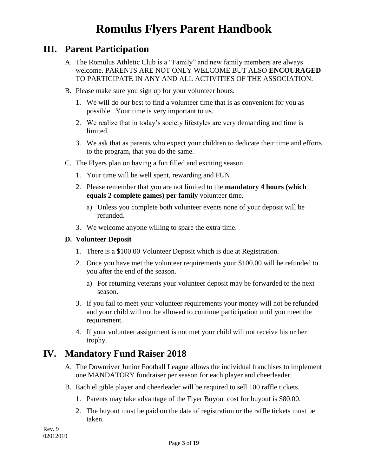## **III. Parent Participation**

- A. The Romulus Athletic Club is a "Family" and new family members are always welcome. PARENTS ARE NOT ONLY WELCOME BUT ALSO **ENCOURAGED**  TO PARTICIPATE IN ANY AND ALL ACTIVITIES OF THE ASSOCIATION.
- B. Please make sure you sign up for your volunteer hours.
	- 1. We will do our best to find a volunteer time that is as convenient for you as possible. Your time is very important to us.
	- 2. We realize that in today's society lifestyles are very demanding and time is limited.
	- 3. We ask that as parents who expect your children to dedicate their time and efforts to the program, that you do the same.
- C. The Flyers plan on having a fun filled and exciting season.
	- 1. Your time will be well spent, rewarding and FUN.
	- 2. Please remember that you are not limited to the **mandatory 4 hours (which equals 2 complete games) per family** volunteer time.
		- a) Unless you complete both volunteer events none of your deposit will be refunded.
	- 3. We welcome anyone willing to spare the extra time.

#### **D. Volunteer Deposit**

- 1. There is a \$100.00 Volunteer Deposit which is due at Registration.
- 2. Once you have met the volunteer requirements your \$100.00 will be refunded to you after the end of the season.
	- a) For returning veterans your volunteer deposit may be forwarded to the next season.
- 3. If you fail to meet your volunteer requirements your money will not be refunded and your child will not be allowed to continue participation until you meet the requirement.
- 4. If your volunteer assignment is not met your child will not receive his or her trophy.

### **IV. Mandatory Fund Raiser 2018**

- A. The Downriver Junior Football League allows the individual franchises to implement one MANDATORY fundraiser per season for each player and cheerleader.
- B. Each eligible player and cheerleader will be required to sell 100 raffle tickets.
	- 1. Parents may take advantage of the Flyer Buyout cost for buyout is \$80.00.
	- 2. The buyout must be paid on the date of registration or the raffle tickets must be taken.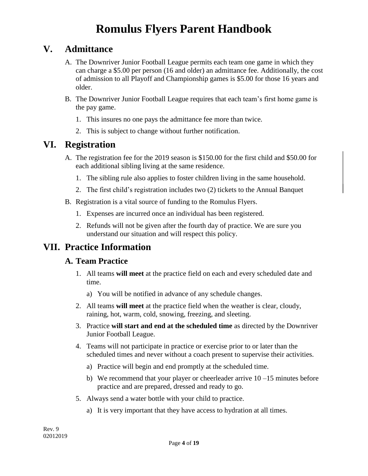## **V. Admittance**

- A. The Downriver Junior Football League permits each team one game in which they can charge a \$5.00 per person (16 and older) an admittance fee. Additionally, the cost of admission to all Playoff and Championship games is \$5.00 for those 16 years and older.
- B. The Downriver Junior Football League requires that each team's first home game is the pay game.
	- 1. This insures no one pays the admittance fee more than twice.
	- 2. This is subject to change without further notification.

## **VI. Registration**

- A. The registration fee for the 2019 season is \$150.00 for the first child and \$50.00 for each additional sibling living at the same residence.
	- 1. The sibling rule also applies to foster children living in the same household.
	- 2. The first child's registration includes two (2) tickets to the Annual Banquet
- B. Registration is a vital source of funding to the Romulus Flyers.
	- 1. Expenses are incurred once an individual has been registered.
	- 2. Refunds will not be given after the fourth day of practice. We are sure you understand our situation and will respect this policy.

## **VII. Practice Information**

### **A. Team Practice**

- 1. All teams **will meet** at the practice field on each and every scheduled date and time.
	- a) You will be notified in advance of any schedule changes.
- 2. All teams **will meet** at the practice field when the weather is clear, cloudy, raining, hot, warm, cold, snowing, freezing, and sleeting.
- 3. Practice **will start and end at the scheduled time** as directed by the Downriver Junior Football League.
- 4. Teams will not participate in practice or exercise prior to or later than the scheduled times and never without a coach present to supervise their activities.
	- a) Practice will begin and end promptly at the scheduled time.
	- b) We recommend that your player or cheerleader arrive  $10 15$  minutes before practice and are prepared, dressed and ready to go.
- 5. Always send a water bottle with your child to practice.
	- a) It is very important that they have access to hydration at all times.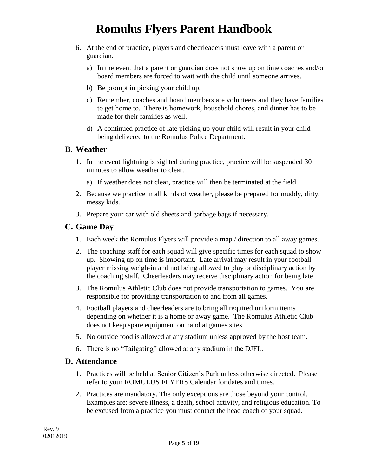- 6. At the end of practice, players and cheerleaders must leave with a parent or guardian.
	- a) In the event that a parent or guardian does not show up on time coaches and/or board members are forced to wait with the child until someone arrives.
	- b) Be prompt in picking your child up.
	- c) Remember, coaches and board members are volunteers and they have families to get home to. There is homework, household chores, and dinner has to be made for their families as well.
	- d) A continued practice of late picking up your child will result in your child being delivered to the Romulus Police Department.

#### **B. Weather**

- 1. In the event lightning is sighted during practice, practice will be suspended 30 minutes to allow weather to clear.
	- a) If weather does not clear, practice will then be terminated at the field.
- 2. Because we practice in all kinds of weather, please be prepared for muddy, dirty, messy kids.
- 3. Prepare your car with old sheets and garbage bags if necessary.

### **C. Game Day**

- 1. Each week the Romulus Flyers will provide a map / direction to all away games.
- 2. The coaching staff for each squad will give specific times for each squad to show up. Showing up on time is important. Late arrival may result in your football player missing weigh-in and not being allowed to play or disciplinary action by the coaching staff. Cheerleaders may receive disciplinary action for being late.
- 3. The Romulus Athletic Club does not provide transportation to games. You are responsible for providing transportation to and from all games.
- 4. Football players and cheerleaders are to bring all required uniform items depending on whether it is a home or away game. The Romulus Athletic Club does not keep spare equipment on hand at games sites.
- 5. No outside food is allowed at any stadium unless approved by the host team.
- 6. There is no "Tailgating" allowed at any stadium in the DJFL.

#### **D. Attendance**

- 1. Practices will be held at Senior Citizen's Park unless otherwise directed. Please refer to your ROMULUS FLYERS Calendar for dates and times.
- 2. Practices are mandatory. The only exceptions are those beyond your control. Examples are: severe illness, a death, school activity, and religious education. To be excused from a practice you must contact the head coach of your squad.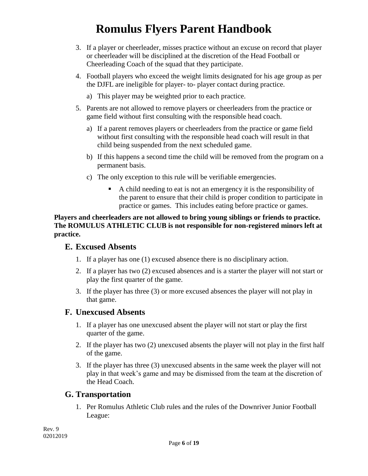- 3. If a player or cheerleader, misses practice without an excuse on record that player or cheerleader will be disciplined at the discretion of the Head Football or Cheerleading Coach of the squad that they participate.
- 4. Football players who exceed the weight limits designated for his age group as per the DJFL are ineligible for player- to- player contact during practice.
	- a) This player may be weighted prior to each practice.
- 5. Parents are not allowed to remove players or cheerleaders from the practice or game field without first consulting with the responsible head coach.
	- a) If a parent removes players or cheerleaders from the practice or game field without first consulting with the responsible head coach will result in that child being suspended from the next scheduled game.
	- b) If this happens a second time the child will be removed from the program on a permanent basis.
	- c) The only exception to this rule will be verifiable emergencies.
		- A child needing to eat is not an emergency it is the responsibility of the parent to ensure that their child is proper condition to participate in practice or games. This includes eating before practice or games.

#### **Players and cheerleaders are not allowed to bring young siblings or friends to practice. The ROMULUS ATHLETIC CLUB is not responsible for non-registered minors left at practice.**

### **E. Excused Absents**

- 1. If a player has one (1) excused absence there is no disciplinary action.
- 2. If a player has two (2) excused absences and is a starter the player will not start or play the first quarter of the game.
- 3. If the player has three (3) or more excused absences the player will not play in that game.

### **F. Unexcused Absents**

- 1. If a player has one unexcused absent the player will not start or play the first quarter of the game.
- 2. If the player has two (2) unexcused absents the player will not play in the first half of the game.
- 3. If the player has three (3) unexcused absents in the same week the player will not play in that week's game and may be dismissed from the team at the discretion of the Head Coach.

### **G. Transportation**

1. Per Romulus Athletic Club rules and the rules of the Downriver Junior Football League: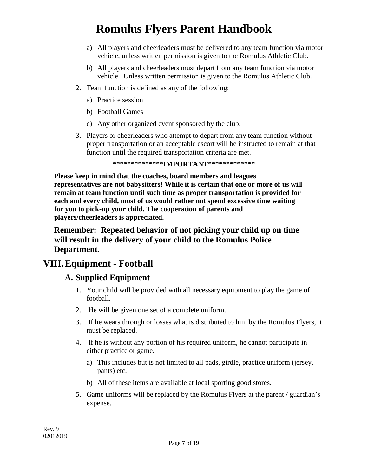- a) All players and cheerleaders must be delivered to any team function via motor vehicle, unless written permission is given to the Romulus Athletic Club.
- b) All players and cheerleaders must depart from any team function via motor vehicle. Unless written permission is given to the Romulus Athletic Club.
- 2. Team function is defined as any of the following:
	- a) Practice session
	- b) Football Games
	- c) Any other organized event sponsored by the club.
- 3. Players or cheerleaders who attempt to depart from any team function without proper transportation or an acceptable escort will be instructed to remain at that function until the required transportation criteria are met.

**\*\*\*\*\*\*\*\*\*\*\*\*\*\*IMPORTANT\*\*\*\*\*\*\*\*\*\*\*\*\***

**Please keep in mind that the coaches, board members and leagues representatives are not babysitters! While it is certain that one or more of us will remain at team function until such time as proper transportation is provided for each and every child, most of us would rather not spend excessive time waiting for you to pick-up your child. The cooperation of parents and players/cheerleaders is appreciated.**

**Remember: Repeated behavior of not picking your child up on time will result in the delivery of your child to the Romulus Police Department.**

## **VIII.Equipment - Football**

### **A. Supplied Equipment**

- 1. Your child will be provided with all necessary equipment to play the game of football.
- 2. He will be given one set of a complete uniform.
- 3. If he wears through or losses what is distributed to him by the Romulus Flyers, it must be replaced.
- 4. If he is without any portion of his required uniform, he cannot participate in either practice or game.
	- a) This includes but is not limited to all pads, girdle, practice uniform (jersey, pants) etc.
	- b) All of these items are available at local sporting good stores.
- 5. Game uniforms will be replaced by the Romulus Flyers at the parent / guardian's expense.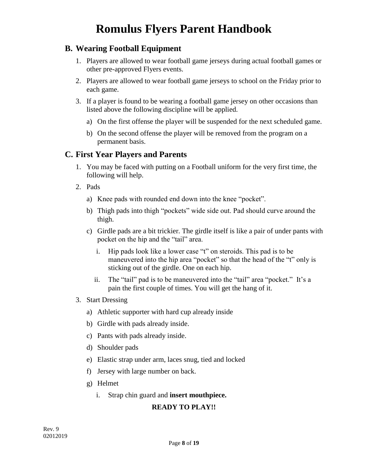### **B. Wearing Football Equipment**

- 1. Players are allowed to wear football game jerseys during actual football games or other pre-approved Flyers events.
- 2. Players are allowed to wear football game jerseys to school on the Friday prior to each game.
- 3. If a player is found to be wearing a football game jersey on other occasions than listed above the following discipline will be applied.
	- a) On the first offense the player will be suspended for the next scheduled game.
	- b) On the second offense the player will be removed from the program on a permanent basis.

### **C. First Year Players and Parents**

- 1. You may be faced with putting on a Football uniform for the very first time, the following will help.
- 2. Pads
	- a) Knee pads with rounded end down into the knee "pocket".
	- b) Thigh pads into thigh "pockets" wide side out. Pad should curve around the thigh.
	- c) Girdle pads are a bit trickier. The girdle itself is like a pair of under pants with pocket on the hip and the "tail" area.
		- i. Hip pads look like a lower case "t" on steroids. This pad is to be maneuvered into the hip area "pocket" so that the head of the "t" only is sticking out of the girdle. One on each hip.
		- ii. The "tail" pad is to be maneuvered into the "tail" area "pocket." It's a pain the first couple of times. You will get the hang of it.
- 3. Start Dressing
	- a) Athletic supporter with hard cup already inside
	- b) Girdle with pads already inside.
	- c) Pants with pads already inside.
	- d) Shoulder pads
	- e) Elastic strap under arm, laces snug, tied and locked
	- f) Jersey with large number on back.
	- g) Helmet
		- i. Strap chin guard and **insert mouthpiece.**

#### **READY TO PLAY!!**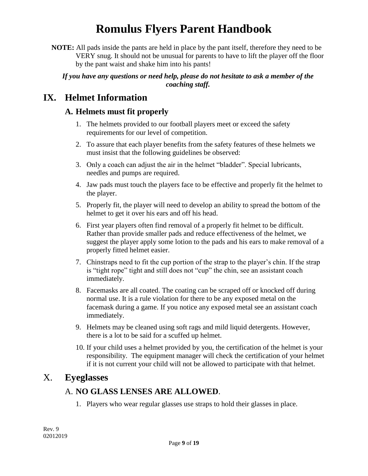**NOTE:** All pads inside the pants are held in place by the pant itself, therefore they need to be VERY snug. It should not be unusual for parents to have to lift the player off the floor by the pant waist and shake him into his pants!

#### *If you have any questions or need help, please do not hesitate to ask a member of the coaching staff.*

## **IX. Helmet Information**

### **A. Helmets must fit properly**

- 1. The helmets provided to our football players meet or exceed the safety requirements for our level of competition.
- 2. To assure that each player benefits from the safety features of these helmets we must insist that the following guidelines be observed:
- 3. Only a coach can adjust the air in the helmet "bladder". Special lubricants, needles and pumps are required.
- 4. Jaw pads must touch the players face to be effective and properly fit the helmet to the player.
- 5. Properly fit, the player will need to develop an ability to spread the bottom of the helmet to get it over his ears and off his head.
- 6. First year players often find removal of a properly fit helmet to be difficult. Rather than provide smaller pads and reduce effectiveness of the helmet, we suggest the player apply some lotion to the pads and his ears to make removal of a properly fitted helmet easier.
- 7. Chinstraps need to fit the cup portion of the strap to the player's chin. If the strap is "tight rope" tight and still does not "cup" the chin, see an assistant coach immediately.
- 8. Facemasks are all coated. The coating can be scraped off or knocked off during normal use. It is a rule violation for there to be any exposed metal on the facemask during a game. If you notice any exposed metal see an assistant coach immediately.
- 9. Helmets may be cleaned using soft rags and mild liquid detergents. However, there is a lot to be said for a scuffed up helmet.
- 10. If your child uses a helmet provided by you, the certification of the helmet is your responsibility. The equipment manager will check the certification of your helmet if it is not current your child will not be allowed to participate with that helmet.

## X. **Eyeglasses**

### A. **NO GLASS LENSES ARE ALLOWED**.

1. Players who wear regular glasses use straps to hold their glasses in place.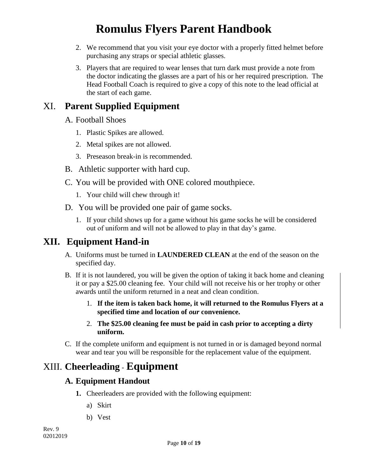- 2. We recommend that you visit your eye doctor with a properly fitted helmet before purchasing any straps or special athletic glasses.
- 3. Players that are required to wear lenses that turn dark must provide a note from the doctor indicating the glasses are a part of his or her required prescription. The Head Football Coach is required to give a copy of this note to the lead official at the start of each game.

## XI. **Parent Supplied Equipment**

- A. Football Shoes
	- 1. Plastic Spikes are allowed.
	- 2. Metal spikes are not allowed.
	- 3. Preseason break-in is recommended.
- B. Athletic supporter with hard cup.
- C. You will be provided with ONE colored mouthpiece.
	- 1. Your child will chew through it!
- D. You will be provided one pair of game socks.
	- 1. If your child shows up for a game without his game socks he will be considered out of uniform and will not be allowed to play in that day's game.

## **XII. Equipment Hand-in**

- A. Uniforms must be turned in **LAUNDERED CLEAN** at the end of the season on the specified day.
- B. If it is not laundered, you will be given the option of taking it back home and cleaning it or pay a \$25.00 cleaning fee. Your child will not receive his or her trophy or other awards until the uniform returned in a neat and clean condition.
	- 1. **If the item is taken back home, it will returned to the Romulus Flyers at a specified time and location of** *our* **convenience.**
	- 2. **The \$25.00 cleaning fee must be paid in cash prior to accepting a dirty uniform.**
- C. If the complete uniform and equipment is not turned in or is damaged beyond normal wear and tear you will be responsible for the replacement value of the equipment.

## XIII. **Cheerleading** - **Equipment**

### **A. Equipment Handout**

- **1.** Cheerleaders are provided with the following equipment:
	- a) Skirt
	- b) Vest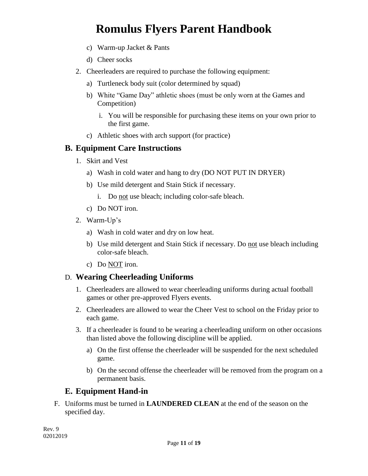- c) Warm-up Jacket & Pants
- d) Cheer socks
- 2. Cheerleaders are required to purchase the following equipment:
	- a) Turtleneck body suit (color determined by squad)
	- b) White "Game Day" athletic shoes (must be only worn at the Games and Competition)
		- i. You will be responsible for purchasing these items on your own prior to the first game.
	- c) Athletic shoes with arch support (for practice)

### **B. Equipment Care Instructions**

- 1. Skirt and Vest
	- a) Wash in cold water and hang to dry (DO NOT PUT IN DRYER)
	- b) Use mild detergent and Stain Stick if necessary.
		- i. Do not use bleach; including color-safe bleach.
	- c) Do NOT iron.
- 2. Warm-Up's
	- a) Wash in cold water and dry on low heat.
	- b) Use mild detergent and Stain Stick if necessary. Do not use bleach including color-safe bleach.
	- c) Do NOT iron.

### D. **Wearing Cheerleading Uniforms**

- 1. Cheerleaders are allowed to wear cheerleading uniforms during actual football games or other pre-approved Flyers events.
- 2. Cheerleaders are allowed to wear the Cheer Vest to school on the Friday prior to each game.
- 3. If a cheerleader is found to be wearing a cheerleading uniform on other occasions than listed above the following discipline will be applied.
	- a) On the first offense the cheerleader will be suspended for the next scheduled game.
	- b) On the second offense the cheerleader will be removed from the program on a permanent basis.

### **E. Equipment Hand-in**

F. Uniforms must be turned in **LAUNDERED CLEAN** at the end of the season on the specified day.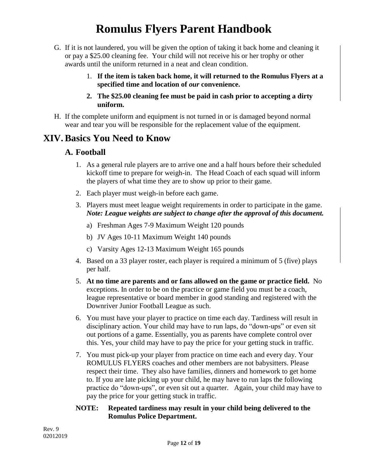- G. If it is not laundered, you will be given the option of taking it back home and cleaning it or pay a \$25.00 cleaning fee. Your child will not receive his or her trophy or other awards until the uniform returned in a neat and clean condition.
	- 1. **If the item is taken back home, it will returned to the Romulus Flyers at a specified time and location of** *our* **convenience.**
	- **2. The \$25.00 cleaning fee must be paid in cash prior to accepting a dirty uniform.**
- H. If the complete uniform and equipment is not turned in or is damaged beyond normal wear and tear you will be responsible for the replacement value of the equipment.

## **XIV. Basics You Need to Know**

### **A. Football**

- 1. As a general rule players are to arrive one and a half hours before their scheduled kickoff time to prepare for weigh-in. The Head Coach of each squad will inform the players of what time they are to show up prior to their game.
- 2. Each player must weigh-in before each game.
- 3. Players must meet league weight requirements in order to participate in the game. *Note: League weights are subject to change after the approval of this document.*
	- a) Freshman Ages 7-9 Maximum Weight 120 pounds
	- b) JV Ages 10-11 Maximum Weight 140 pounds
	- c) Varsity Ages 12-13 Maximum Weight 165 pounds
- 4. Based on a 33 player roster, each player is required a minimum of 5 (five) plays per half.
- 5. **At no time are parents and or fans allowed on the game or practice field.** No exceptions. In order to be on the practice or game field you must be a coach, league representative or board member in good standing and registered with the Downriver Junior Football League as such.
- 6. You must have your player to practice on time each day. Tardiness will result in disciplinary action. Your child may have to run laps, do "down-ups" or even sit out portions of a game. Essentially, you as parents have complete control over this. Yes, your child may have to pay the price for your getting stuck in traffic.
- 7. You must pick-up your player from practice on time each and every day. Your ROMULUS FLYERS coaches and other members are not babysitters. Please respect their time. They also have families, dinners and homework to get home to. If you are late picking up your child, he may have to run laps the following practice do "down-ups", or even sit out a quarter. Again, your child may have to pay the price for your getting stuck in traffic.

#### **NOTE: Repeated tardiness may result in your child being delivered to the Romulus Police Department.**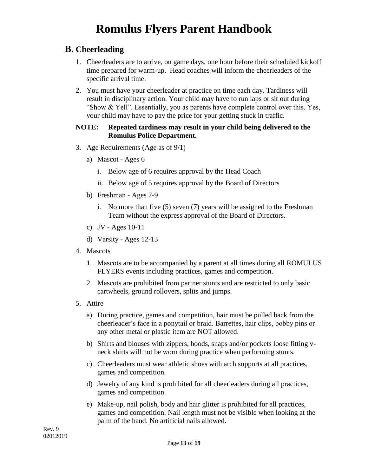### **B. Cheerleading**

- 1. Cheerleaders are to arrive, on game days, one hour before their scheduled kickoff time prepared for warm-up. Head coaches will inform the cheerleaders of the specific arrival time.
- 2. You must have your cheerleader at practice on time each day. Tardiness will result in disciplinary action. Your child may have to run laps or sit out during "Show  $& Yell"$ . Essentially, you as parents have complete control over this. Yes, your child may have to pay the price for your getting stuck in traffic.

#### **NOTE: Repeated tardiness may result in your child being delivered to the Romulus Police Department.**

- 3. Age Requirements (Age as of 9/1)
	- a) Mascot Ages 6
		- i. Below age of 6 requires approval by the Head Coach
		- ii. Below age of 5 requires approval by the Board of Directors
	- b) Freshman Ages 7-9
		- i. No more than five (5) seven (7) years will be assigned to the Freshman Team without the express approval of the Board of Directors.
	- c) JV Ages 10-11
	- d) Varsity Ages 12-13
- 4. Mascots
	- 1. Mascots are to be accompanied by a parent at all times during all ROMULUS FLYERS events including practices, games and competition.
	- 2. Mascots are prohibited from partner stunts and are restricted to only basic cartwheels, ground rollovers, splits and jumps.
- 5. Attire
	- a) During practice, games and competition, hair must be pulled back from the cheerleader's face in a ponytail or braid. Barrettes, hair clips, bobby pins or any other metal or plastic item are NOT allowed.
	- b) Shirts and blouses with zippers, hoods, snaps and/or pockets loose fitting vneck shirts will not be worn during practice when performing stunts.
	- c) Cheerleaders must wear athletic shoes with arch supports at all practices, games and competition.
	- d) Jewelry of any kind is prohibited for all cheerleaders during all practices, games and competition.
	- e) Make-up, nail polish, body and hair glitter is prohibited for all practices, games and competition. Nail length must not be visible when looking at the palm of the hand. No artificial nails allowed.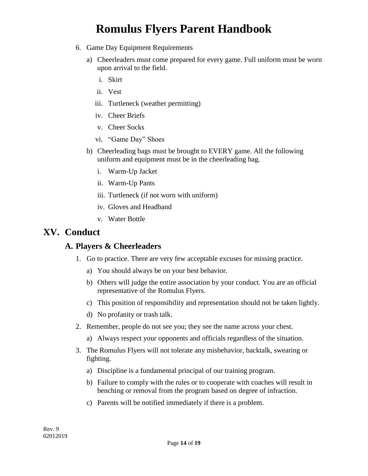- 6. Game Day Equipment Requirements
	- a) Cheerleaders must come prepared for every game. Full uniform must be worn upon arrival to the field.
		- i. Skirt
		- ii. Vest
		- iii. Turtleneck (weather permitting)
		- iv. Cheer Briefs
		- v. Cheer Socks
		- vi. "Game Day" Shoes
	- b) Cheerleading bags must be brought to EVERY game. All the following uniform and equipment must be in the cheerleading bag.
		- i. Warm-Up Jacket
		- ii. Warm-Up Pants
		- iii. Turtleneck (if not worn with uniform)
		- iv. Gloves and Headband
		- v. Water Bottle

### **XV. Conduct**

### **A. Players & Cheerleaders**

- 1. Go to practice. There are very few acceptable excuses for missing practice.
	- a) You should always be on your best behavior.
	- b) Others will judge the entire association by your conduct. You are an official representative of the Romulus Flyers.
	- c) This position of responsibility and representation should not be taken lightly.
	- d) No profanity or trash talk.
- 2. Remember, people do not see you; they see the name across your chest.
	- a) Always respect your opponents and officials regardless of the situation.
- 3. The Romulus Flyers will not tolerate any misbehavior, backtalk, swearing or fighting.
	- a) Discipline is a fundamental principal of our training program.
	- b) Failure to comply with the rules or to cooperate with coaches will result in benching or removal from the program based on degree of infraction.
	- c) Parents will be notified immediately if there is a problem.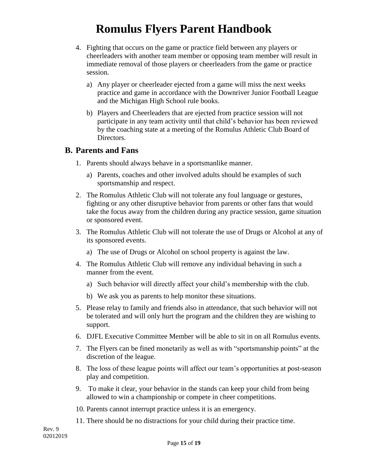- 4. Fighting that occurs on the game or practice field between any players or cheerleaders with another team member or opposing team member will result in immediate removal of those players or cheerleaders from the game or practice session.
	- a) Any player or cheerleader ejected from a game will miss the next weeks practice and game in accordance with the Downriver Junior Football League and the Michigan High School rule books.
	- b) Players and Cheerleaders that are ejected from practice session will not participate in any team activity until that child's behavior has been reviewed by the coaching state at a meeting of the Romulus Athletic Club Board of Directors.

#### **B. Parents and Fans**

- 1. Parents should always behave in a sportsmanlike manner.
	- a) Parents, coaches and other involved adults should be examples of such sportsmanship and respect.
- 2. The Romulus Athletic Club will not tolerate any foul language or gestures, fighting or any other disruptive behavior from parents or other fans that would take the focus away from the children during any practice session, game situation or sponsored event.
- 3. The Romulus Athletic Club will not tolerate the use of Drugs or Alcohol at any of its sponsored events.
	- a) The use of Drugs or Alcohol on school property is against the law.
- 4. The Romulus Athletic Club will remove any individual behaving in such a manner from the event.
	- a) Such behavior will directly affect your child's membership with the club.
	- b) We ask you as parents to help monitor these situations.
- 5. Please relay to family and friends also in attendance, that such behavior will not be tolerated and will only hurt the program and the children they are wishing to support.
- 6. DJFL Executive Committee Member will be able to sit in on all Romulus events.
- 7. The Flyers can be fined monetarily as well as with "sportsmanship points" at the discretion of the league.
- 8. The loss of these league points will affect our team's opportunities at post-season play and competition.
- 9. To make it clear, your behavior in the stands can keep your child from being allowed to win a championship or compete in cheer competitions.
- 10. Parents cannot interrupt practice unless it is an emergency.
- 11. There should be no distractions for your child during their practice time.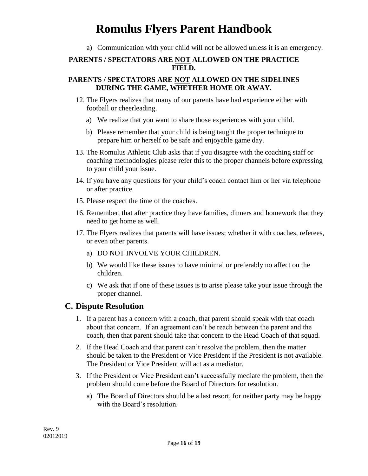a) Communication with your child will not be allowed unless it is an emergency.

#### **PARENTS / SPECTATORS ARE NOT ALLOWED ON THE PRACTICE FIELD.**

#### **PARENTS / SPECTATORS ARE NOT ALLOWED ON THE SIDELINES DURING THE GAME, WHETHER HOME OR AWAY.**

- 12. The Flyers realizes that many of our parents have had experience either with football or cheerleading.
	- a) We realize that you want to share those experiences with your child.
	- b) Please remember that your child is being taught the proper technique to prepare him or herself to be safe and enjoyable game day.
- 13. The Romulus Athletic Club asks that if you disagree with the coaching staff or coaching methodologies please refer this to the proper channels before expressing to your child your issue.
- 14. If you have any questions for your child's coach contact him or her via telephone or after practice.
- 15. Please respect the time of the coaches.
- 16. Remember, that after practice they have families, dinners and homework that they need to get home as well.
- 17. The Flyers realizes that parents will have issues; whether it with coaches, referees, or even other parents.
	- a) DO NOT INVOLVE YOUR CHILDREN.
	- b) We would like these issues to have minimal or preferably no affect on the children.
	- c) We ask that if one of these issues is to arise please take your issue through the proper channel.

### **C. Dispute Resolution**

- 1. If a parent has a concern with a coach, that parent should speak with that coach about that concern. If an agreement can't be reach between the parent and the coach, then that parent should take that concern to the Head Coach of that squad.
- 2. If the Head Coach and that parent can't resolve the problem, then the matter should be taken to the President or Vice President if the President is not available. The President or Vice President will act as a mediator.
- 3. If the President or Vice President can't successfully mediate the problem, then the problem should come before the Board of Directors for resolution.
	- a) The Board of Directors should be a last resort, for neither party may be happy with the Board's resolution.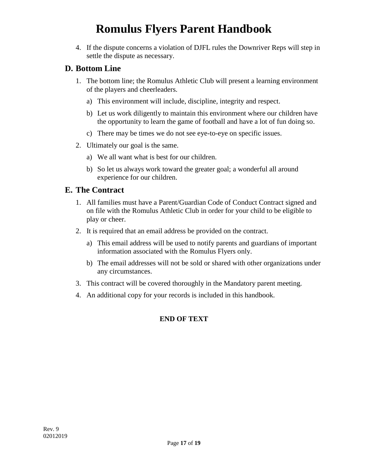4. If the dispute concerns a violation of DJFL rules the Downriver Reps will step in settle the dispute as necessary.

### **D. Bottom Line**

- 1. The bottom line; the Romulus Athletic Club will present a learning environment of the players and cheerleaders.
	- a) This environment will include, discipline, integrity and respect.
	- b) Let us work diligently to maintain this environment where our children have the opportunity to learn the game of football and have a lot of fun doing so.
	- c) There may be times we do not see eye-to-eye on specific issues.
- 2. Ultimately our goal is the same.
	- a) We all want what is best for our children.
	- b) So let us always work toward the greater goal; a wonderful all around experience for our children.

### **E. The Contract**

- 1. All families must have a Parent/Guardian Code of Conduct Contract signed and on file with the Romulus Athletic Club in order for your child to be eligible to play or cheer.
- 2. It is required that an email address be provided on the contract.
	- a) This email address will be used to notify parents and guardians of important information associated with the Romulus Flyers only.
	- b) The email addresses will not be sold or shared with other organizations under any circumstances.
- 3. This contract will be covered thoroughly in the Mandatory parent meeting.
- 4. An additional copy for your records is included in this handbook.

### **END OF TEXT**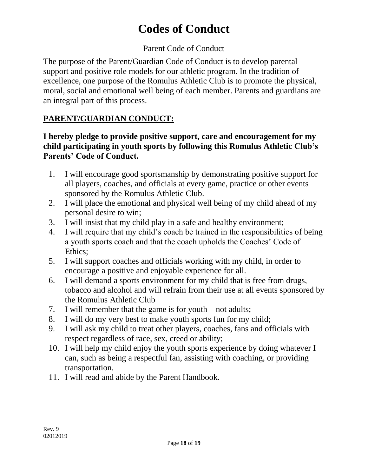# **Codes of Conduct**

### Parent Code of Conduct

The purpose of the Parent/Guardian Code of Conduct is to develop parental support and positive role models for our athletic program. In the tradition of excellence, one purpose of the Romulus Athletic Club is to promote the physical, moral, social and emotional well being of each member. Parents and guardians are an integral part of this process.

## **PARENT/GUARDIAN CONDUCT:**

### **I hereby pledge to provide positive support, care and encouragement for my child participating in youth sports by following this Romulus Athletic Club's Parents' Code of Conduct.**

- 1. I will encourage good sportsmanship by demonstrating positive support for all players, coaches, and officials at every game, practice or other events sponsored by the Romulus Athletic Club.
- 2. I will place the emotional and physical well being of my child ahead of my personal desire to win;
- 3. I will insist that my child play in a safe and healthy environment;
- 4. I will require that my child's coach be trained in the responsibilities of being a youth sports coach and that the coach upholds the Coaches' Code of Ethics;
- 5. I will support coaches and officials working with my child, in order to encourage a positive and enjoyable experience for all.
- 6. I will demand a sports environment for my child that is free from drugs, tobacco and alcohol and will refrain from their use at all events sponsored by the Romulus Athletic Club
- 7. I will remember that the game is for youth not adults;
- 8. I will do my very best to make youth sports fun for my child;
- 9. I will ask my child to treat other players, coaches, fans and officials with respect regardless of race, sex, creed or ability;
- 10. I will help my child enjoy the youth sports experience by doing whatever I can, such as being a respectful fan, assisting with coaching, or providing transportation.
- 11. I will read and abide by the Parent Handbook.